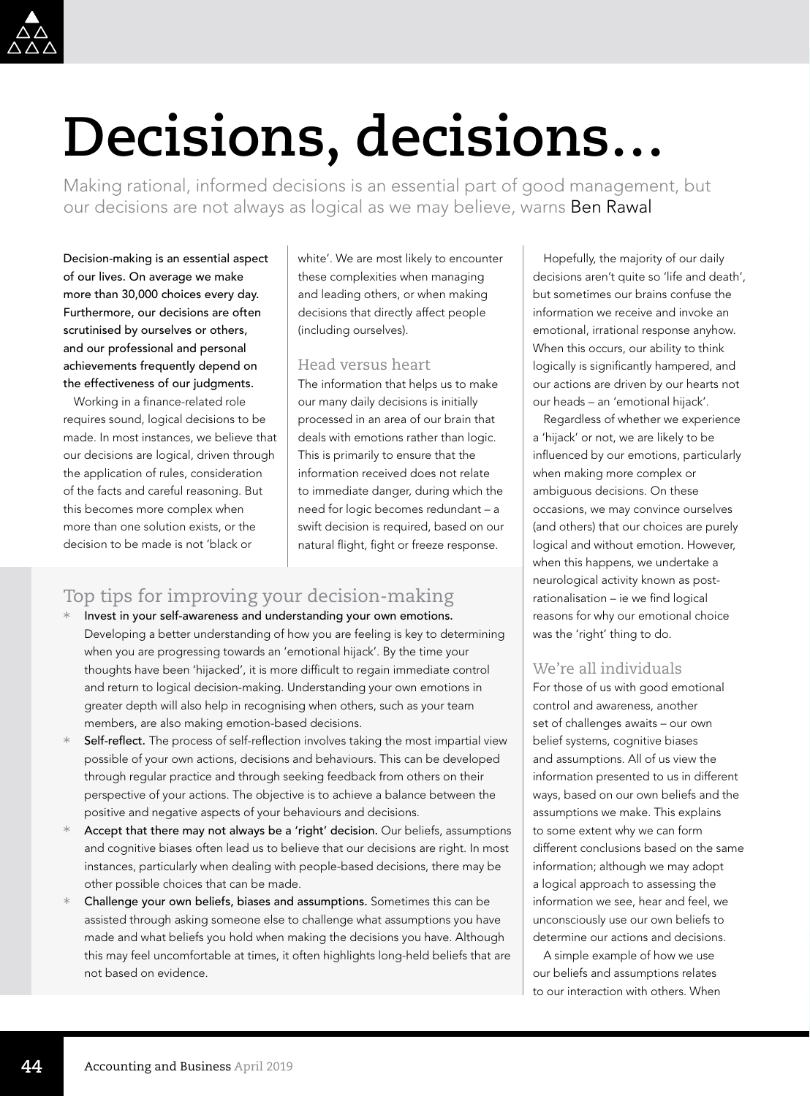

# **Decisions, decisions…**

Making rational, informed decisions is an essential part of good management, but our decisions are not always as logical as we may believe, warns Ben Rawal

Decision-making is an essential aspect of our lives. On average we make more than 30,000 choices every day. Furthermore, our decisions are often scrutinised by ourselves or others, and our professional and personal achievements frequently depend on the effectiveness of our judgments.

Working in a finance-related role requires sound, logical decisions to be made. In most instances, we believe that our decisions are logical, driven through the application of rules, consideration of the facts and careful reasoning. But this becomes more complex when more than one solution exists, or the decision to be made is not 'black or

white'. We are most likely to encounter these complexities when managing and leading others, or when making decisions that directly affect people (including ourselves).

#### Head versus heart

The information that helps us to make our many daily decisions is initially processed in an area of our brain that deals with emotions rather than logic. This is primarily to ensure that the information received does not relate to immediate danger, during which the need for logic becomes redundant – a swift decision is required, based on our natural flight, fight or freeze response.

## Top tips for improving your decision-making

- Invest in your self-awareness and understanding your own emotions. Developing a better understanding of how you are feeling is key to determining when you are progressing towards an 'emotional hijack'. By the time your thoughts have been 'hijacked', it is more difficult to regain immediate control and return to logical decision-making. Understanding your own emotions in greater depth will also help in recognising when others, such as your team members, are also making emotion-based decisions.
- Self-reflect. The process of self-reflection involves taking the most impartial view possible of your own actions, decisions and behaviours. This can be developed through regular practice and through seeking feedback from others on their perspective of your actions. The objective is to achieve a balance between the positive and negative aspects of your behaviours and decisions.
- Accept that there may not always be a 'right' decision. Our beliefs, assumptions and cognitive biases often lead us to believe that our decisions are right. In most instances, particularly when dealing with people-based decisions, there may be other possible choices that can be made.
- Challenge your own beliefs, biases and assumptions. Sometimes this can be assisted through asking someone else to challenge what assumptions you have made and what beliefs you hold when making the decisions you have. Although this may feel uncomfortable at times, it often highlights long-held beliefs that are not based on evidence.

Hopefully, the majority of our daily decisions aren't quite so 'life and death', but sometimes our brains confuse the information we receive and invoke an emotional, irrational response anyhow. When this occurs, our ability to think logically is significantly hampered, and our actions are driven by our hearts not our heads – an 'emotional hijack'.

Regardless of whether we experience a 'hijack' or not, we are likely to be influenced by our emotions, particularly when making more complex or ambiguous decisions. On these occasions, we may convince ourselves (and others) that our choices are purely logical and without emotion. However, when this happens, we undertake a neurological activity known as postrationalisation – ie we find logical reasons for why our emotional choice was the 'right' thing to do.

## We're all individuals

For those of us with good emotional control and awareness, another set of challenges awaits – our own belief systems, cognitive biases and assumptions. All of us view the information presented to us in different ways, based on our own beliefs and the assumptions we make. This explains to some extent why we can form different conclusions based on the same information; although we may adopt a logical approach to assessing the information we see, hear and feel, we unconsciously use our own beliefs to determine our actions and decisions.

A simple example of how we use our beliefs and assumptions relates to our interaction with others. When